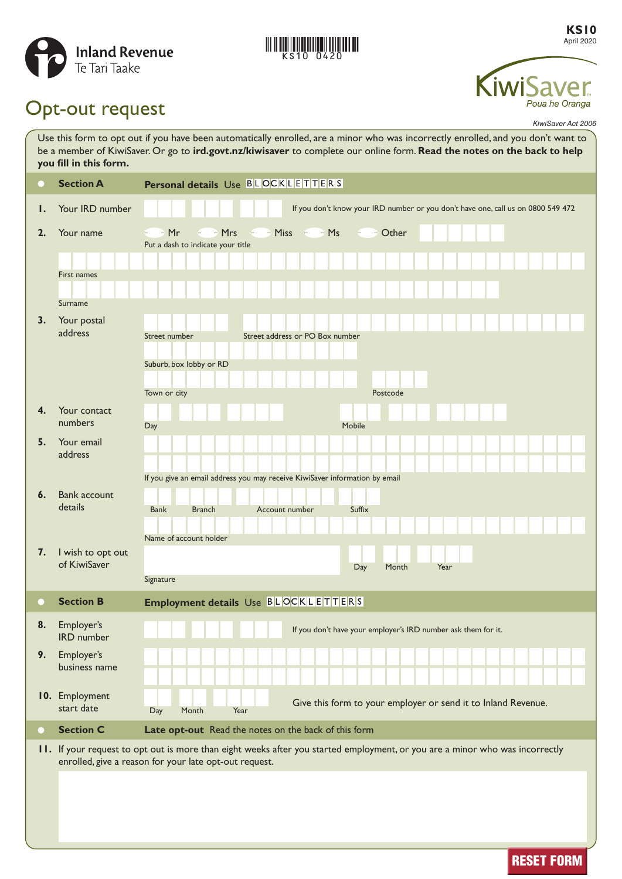

# KS10 0420

**KS10** April 2020



# Opt-out request

*KiwiSaver Act 2006*

| Use this form to opt out if you have been automatically enrolled, are a minor who was incorrectly enrolled, and you don't want to<br>be a member of KiwiSaver. Or go to ird.govt.nz/kiwisaver to complete our online form. Read the notes on the back to help<br>you fill in this form. |                                 |                                                                                                                                                                                        |
|-----------------------------------------------------------------------------------------------------------------------------------------------------------------------------------------------------------------------------------------------------------------------------------------|---------------------------------|----------------------------------------------------------------------------------------------------------------------------------------------------------------------------------------|
|                                                                                                                                                                                                                                                                                         | <b>Section A</b>                | Personal details Use BLOCKLETTERS                                                                                                                                                      |
| ı.                                                                                                                                                                                                                                                                                      | Your IRD number                 | If you don't know your IRD number or you don't have one, call us on 0800 549 472                                                                                                       |
| 2.                                                                                                                                                                                                                                                                                      | Your name                       | $-$ - Miss $-$ - Ms<br>– Mr<br>$-$ - Mrs<br>$ -$ Other<br>$\epsilon$                                                                                                                   |
|                                                                                                                                                                                                                                                                                         |                                 | Put a dash to indicate your title                                                                                                                                                      |
|                                                                                                                                                                                                                                                                                         | First names                     |                                                                                                                                                                                        |
|                                                                                                                                                                                                                                                                                         | Surname                         |                                                                                                                                                                                        |
| 3.                                                                                                                                                                                                                                                                                      | Your postal                     |                                                                                                                                                                                        |
|                                                                                                                                                                                                                                                                                         | address                         | Street address or PO Box number<br>Street number                                                                                                                                       |
|                                                                                                                                                                                                                                                                                         |                                 | Suburb, box lobby or RD                                                                                                                                                                |
|                                                                                                                                                                                                                                                                                         |                                 |                                                                                                                                                                                        |
| 4.                                                                                                                                                                                                                                                                                      | Your contact                    | Town or city<br>Postcode                                                                                                                                                               |
|                                                                                                                                                                                                                                                                                         | numbers                         | Mobile<br>Day                                                                                                                                                                          |
| 5.                                                                                                                                                                                                                                                                                      | Your email                      |                                                                                                                                                                                        |
|                                                                                                                                                                                                                                                                                         | address                         |                                                                                                                                                                                        |
|                                                                                                                                                                                                                                                                                         |                                 | If you give an email address you may receive KiwiSaver information by email                                                                                                            |
| 6.                                                                                                                                                                                                                                                                                      | <b>Bank account</b><br>details  | <b>Bank</b><br>Suffix<br><b>Branch</b><br>Account number                                                                                                                               |
|                                                                                                                                                                                                                                                                                         |                                 |                                                                                                                                                                                        |
| 7.                                                                                                                                                                                                                                                                                      | I wish to opt out               | Name of account holder                                                                                                                                                                 |
|                                                                                                                                                                                                                                                                                         | of KiwiSaver                    | Year<br>Day<br>Month                                                                                                                                                                   |
|                                                                                                                                                                                                                                                                                         |                                 | Signature                                                                                                                                                                              |
|                                                                                                                                                                                                                                                                                         | <b>Section B</b>                | Employment details Use BLOCKLETTERS                                                                                                                                                    |
| 8.                                                                                                                                                                                                                                                                                      | Employer's<br><b>IRD</b> number | If you don't have your employer's IRD number ask them for it.                                                                                                                          |
| 9.                                                                                                                                                                                                                                                                                      | Employer's<br>business name     |                                                                                                                                                                                        |
|                                                                                                                                                                                                                                                                                         |                                 |                                                                                                                                                                                        |
|                                                                                                                                                                                                                                                                                         | 10. Employment<br>start date    | Give this form to your employer or send it to Inland Revenue.<br>Month<br>Day<br>Year                                                                                                  |
| $\scriptstyle\bullet$                                                                                                                                                                                                                                                                   | <b>Section C</b>                | Late opt-out Read the notes on the back of this form                                                                                                                                   |
|                                                                                                                                                                                                                                                                                         |                                 | 11. If your request to opt out is more than eight weeks after you started employment, or you are a minor who was incorrectly<br>enrolled, give a reason for your late opt-out request. |
|                                                                                                                                                                                                                                                                                         |                                 |                                                                                                                                                                                        |